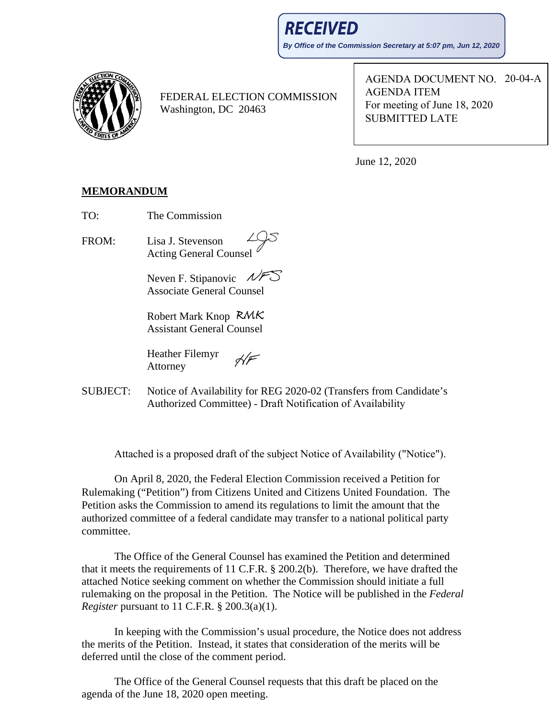**RECEIVED By Office of the Commission Secretary at 5:07 pm, Jun 12, 2020**



FEDERAL ELECTION COMMISSION Washington, DC 20463

AGENDA DOCUMENT NO. 20-04-A AGENDA ITEM For meeting of June 18, 2020 SUBMITTED LATE

June 12, 2020

## **MEMORANDUM**

TO: The Commission

FROM: Lisa J. Stevenson Acting General Counsel

> Neven F. Stipanovic  $NFD$ Associate General Counsel

Robert Mark Knop Assistant General Counsel

 $H_F$ Heather Filemyr Attorney

SUBJECT: Notice of Availability for REG 2020-02 (Transfers from Candidate's Authorized Committee) - Draft Notification of Availability

Attached is a proposed draft of the subject Notice of Availability ("Notice").

On April 8, 2020, the Federal Election Commission received a Petition for Rulemaking ("Petition") from Citizens United and Citizens United Foundation. The Petition asks the Commission to amend its regulations to limit the amount that the authorized committee of a federal candidate may transfer to a national political party committee.

The Office of the General Counsel has examined the Petition and determined that it meets the requirements of 11 C.F.R. § 200.2(b). Therefore, we have drafted the attached Notice seeking comment on whether the Commission should initiate a full rulemaking on the proposal in the Petition. The Notice will be published in the *Federal Register* pursuant to 11 C.F.R. § 200.3(a)(1).

In keeping with the Commission's usual procedure, the Notice does not address the merits of the Petition. Instead, it states that consideration of the merits will be deferred until the close of the comment period.

The Office of the General Counsel requests that this draft be placed on the agenda of the June 18, 2020 open meeting.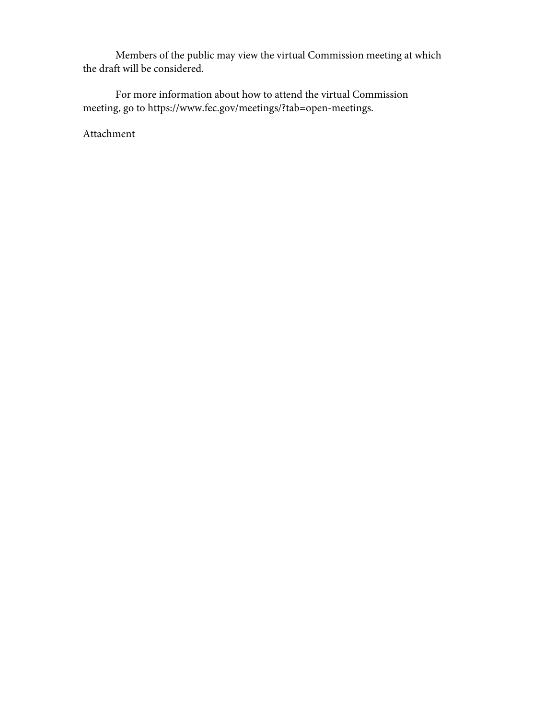Members of the public may view the virtual Commission meeting at which the draft will be considered.

For more information about how to attend the virtual Commission meeting, go to [https://www.fec.gov/meetings/?tab=open-meetings.](https://www.fec.gov/meetings/?tab=open-meetings) 

Attachment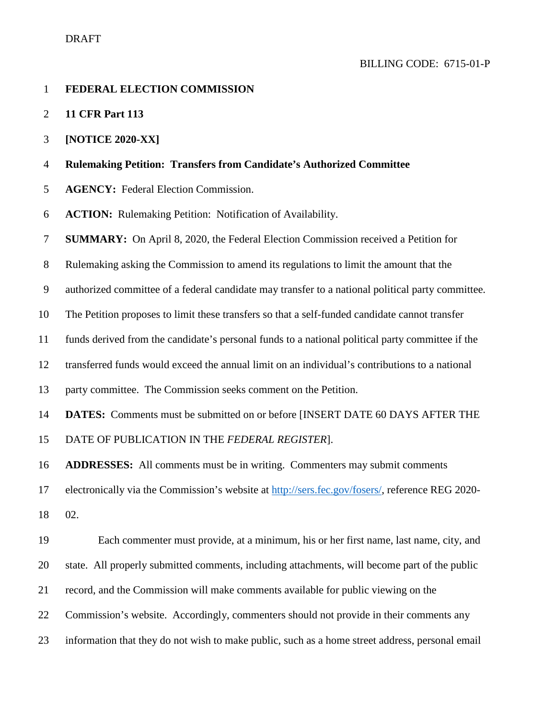- **FEDERAL ELECTION COMMISSION**
- **11 CFR Part 113**
- **[NOTICE 2020-XX]**
- **Rulemaking Petition: Transfers from Candidate's Authorized Committee**
- **AGENCY:** Federal Election Commission.
- **ACTION:** Rulemaking Petition: Notification of Availability.
- **SUMMARY:** On April 8, 2020, the Federal Election Commission received a Petition for
- Rulemaking asking the Commission to amend its regulations to limit the amount that the
- authorized committee of a federal candidate may transfer to a national political party committee.
- The Petition proposes to limit these transfers so that a self-funded candidate cannot transfer
- funds derived from the candidate's personal funds to a national political party committee if the
- transferred funds would exceed the annual limit on an individual's contributions to a national
- party committee. The Commission seeks comment on the Petition.
- **DATES:** Comments must be submitted on or before [INSERT DATE 60 DAYS AFTER THE
- DATE OF PUBLICATION IN THE *FEDERAL REGISTER*].
- **ADDRESSES:** All comments must be in writing. Commenters may submit comments
- electronically via the Commission's website at [http://sers.fec.gov/fosers/,](http://sers.fec.gov/fosers/) reference REG 2020-
- 02.
- Each commenter must provide, at a minimum, his or her first name, last name, city, and state. All properly submitted comments, including attachments, will become part of the public record, and the Commission will make comments available for public viewing on the Commission's website. Accordingly, commenters should not provide in their comments any information that they do not wish to make public, such as a home street address, personal email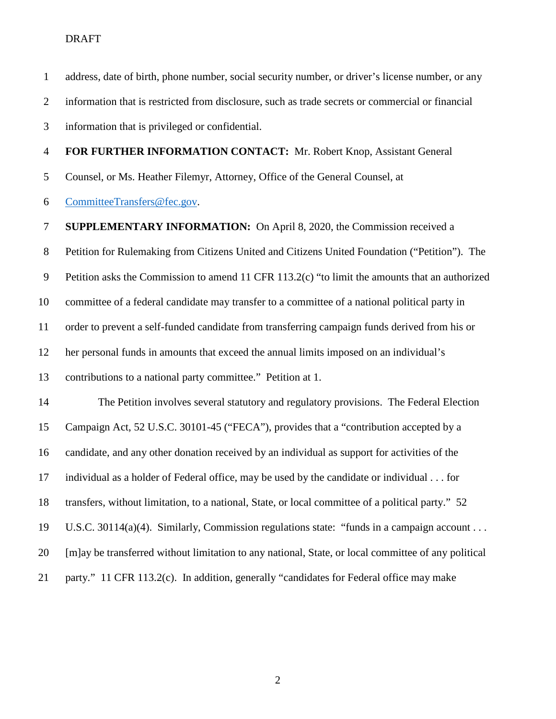address, date of birth, phone number, social security number, or driver's license number, or any information that is restricted from disclosure, such as trade secrets or commercial or financial information that is privileged or confidential. **FOR FURTHER INFORMATION CONTACT:** Mr. Robert Knop, Assistant General Counsel, or Ms. Heather Filemyr, Attorney, Office of the General Counsel, at [CommitteeTransfers@fec.gov.](mailto:CommitteeTransfers@fec.gov) **SUPPLEMENTARY INFORMATION:** On April 8, 2020, the Commission received a Petition for Rulemaking from Citizens United and Citizens United Foundation ("Petition"). The Petition asks the Commission to amend 11 CFR 113.2(c) "to limit the amounts that an authorized committee of a federal candidate may transfer to a committee of a national political party in order to prevent a self-funded candidate from transferring campaign funds derived from his or her personal funds in amounts that exceed the annual limits imposed on an individual's contributions to a national party committee." Petition at 1. The Petition involves several statutory and regulatory provisions. The Federal Election Campaign Act, 52 U.S.C. 30101-45 ("FECA"), provides that a "contribution accepted by a candidate, and any other donation received by an individual as support for activities of the individual as a holder of Federal office, may be used by the candidate or individual . . . for transfers, without limitation, to a national, State, or local committee of a political party." 52 U.S.C. 30114(a)(4). Similarly, Commission regulations state: "funds in a campaign account . . . [m]ay be transferred without limitation to any national, State, or local committee of any political party." 11 CFR 113.2(c). In addition, generally "candidates for Federal office may make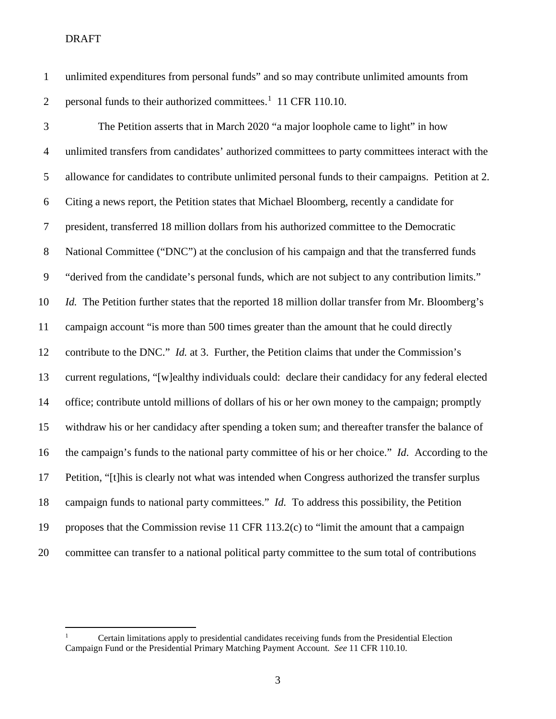DRAFT

 unlimited expenditures from personal funds" and so may contribute unlimited amounts from 2 personal funds to their authorized committees.<sup>[1](#page-4-0)</sup> 11 CFR 110.10.

 The Petition asserts that in March 2020 "a major loophole came to light" in how unlimited transfers from candidates' authorized committees to party committees interact with the allowance for candidates to contribute unlimited personal funds to their campaigns. Petition at 2. Citing a news report, the Petition states that Michael Bloomberg, recently a candidate for president, transferred 18 million dollars from his authorized committee to the Democratic National Committee ("DNC") at the conclusion of his campaign and that the transferred funds "derived from the candidate's personal funds, which are not subject to any contribution limits." *Id.* The Petition further states that the reported 18 million dollar transfer from Mr. Bloomberg's campaign account "is more than 500 times greater than the amount that he could directly contribute to the DNC." *Id.* at 3. Further, the Petition claims that under the Commission's current regulations, "[w]ealthy individuals could: declare their candidacy for any federal elected office; contribute untold millions of dollars of his or her own money to the campaign; promptly withdraw his or her candidacy after spending a token sum; and thereafter transfer the balance of the campaign's funds to the national party committee of his or her choice." *Id*. According to the Petition, "[t]his is clearly not what was intended when Congress authorized the transfer surplus campaign funds to national party committees." *Id.* To address this possibility, the Petition proposes that the Commission revise 11 CFR 113.2(c) to "limit the amount that a campaign committee can transfer to a national political party committee to the sum total of contributions

<span id="page-4-0"></span> Certain limitations apply to presidential candidates receiving funds from the Presidential Election Campaign Fund or the Presidential Primary Matching Payment Account. *See* 11 CFR 110.10.